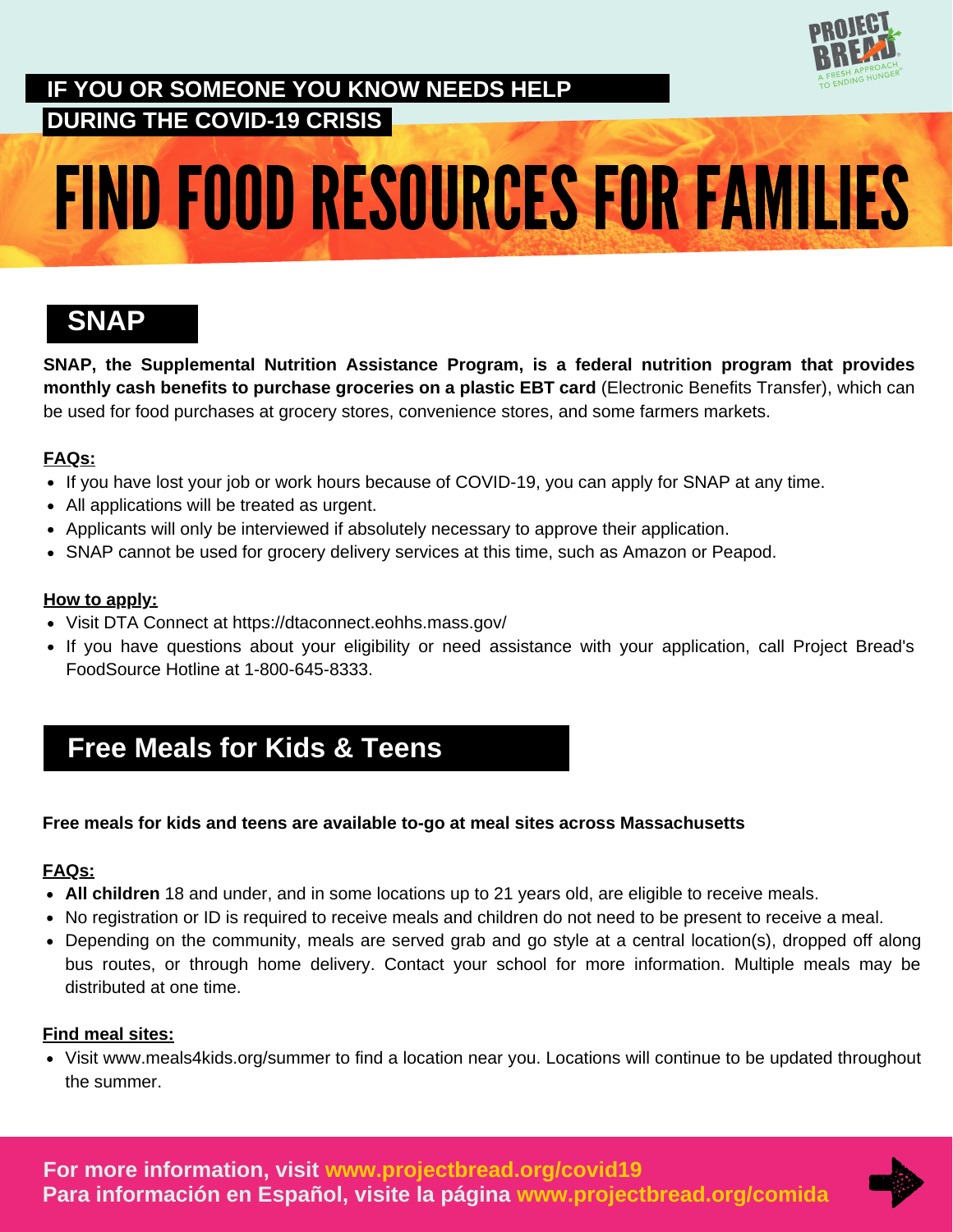

## **IF YOU OR SOMEONE YOU KNOW NEEDS HELP DURING THE COVID-19 CRISIS**

# FIND FOOD RESOURCES FOR FAMILIES

## **SNAP**

**SNAP, the Supplemental Nutrition Assistance Program, is a federal nutrition program that provides monthly cash benefits to purchase groceries on a plastic EBT card** (Electronic Benefits Transfer), which can be used for food purchases at grocery stores, convenience stores, and some farmers markets.

### **FAQs:**

- If you have lost your job or work hours because of COVID-19, you can apply for SNAP at any time.
- All applications will be treated as urgent.
- Applicants will only be interviewed if absolutely necessary to approve their application.
- SNAP cannot be used for grocery delivery services at this time, such as Amazon or Peapod.

#### **How to apply:**

- Visit DTA Connect at https://dtaconnect.eohhs.mass.gov/
- If you have questions about your eligibility or need assistance with your application, call Project Bread's FoodSource Hotline at 1-800-645-8333.

# **Free Meals for Kids & Teens**

### **Free meals for kids and teens are available to-go at meal sites across Massachusetts**

### **FAQs:**

- **All children** 18 and under, and in some locations up to 21 years old, are eligible to receive meals.
- No registration or ID is required to receive meals and children do not need to be present to receive a meal.
- Depending on the community, meals are served grab and go style at a central location(s), dropped off along bus routes, or through home delivery. Contact your school for more information. Multiple meals may be distributed at one time.

### **Find meal sites:**

Visit www.meals4kids.org/summer to find a location near you. Locations will continue to be updated throughout the summer.